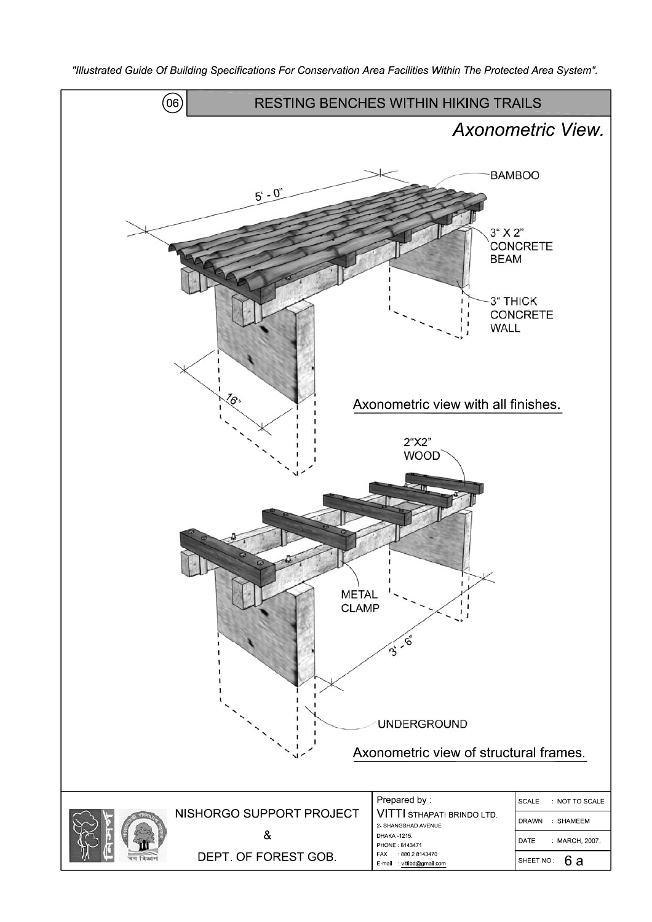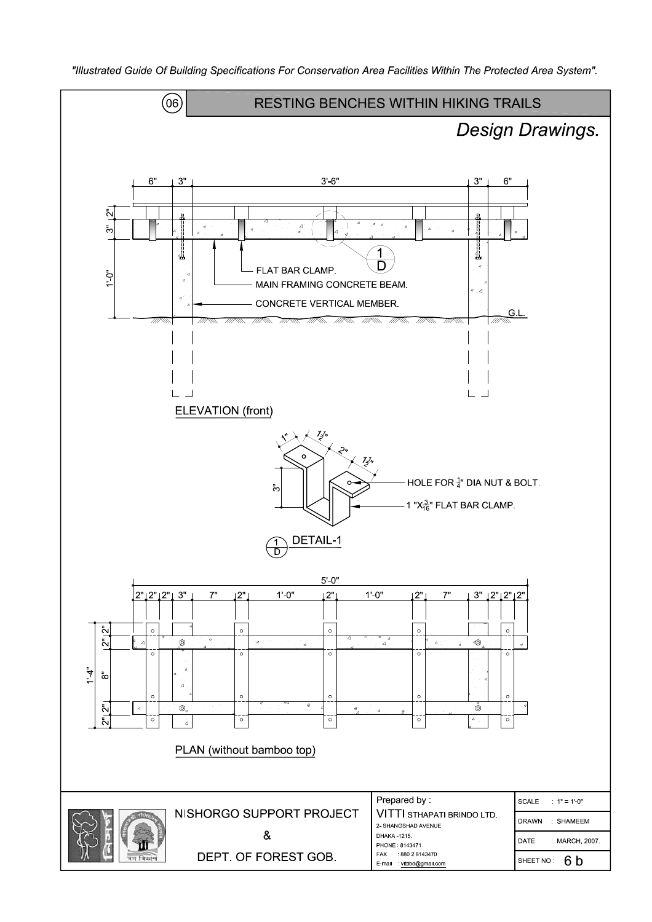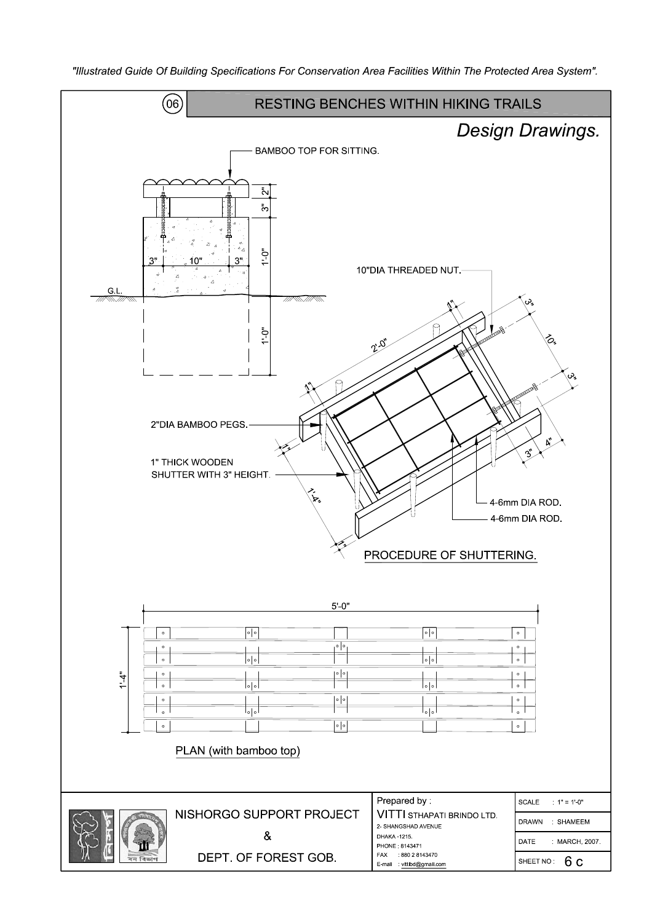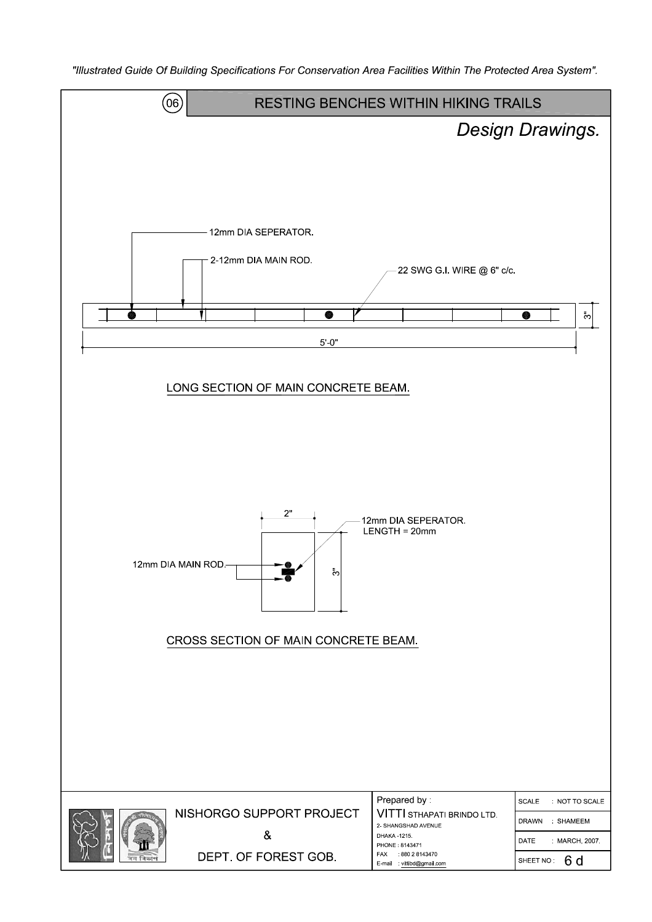$(06)$ **RESTING BENCHES WITHIN HIKING TRAILS** Design Drawings. 12mm DIA SEPERATOR. 2-12mm DIA MAIN ROD. 22 SWG G.I. WIRE @ 6" c/c.  $\bullet$ **RATION**  $\bar{c}$  $5'0'$ LONG SECTION OF MAIN CONCRETE BEAM. 12mm DIA SEPERATOR.  $LENGTH = 20mm$ 12mm DIA MAIN ROD ್ಲ CROSS SECTION OF MAIN CONCRETE BEAM. Prepared by: SCALE NOT TO SCALE NISHORGO SUPPORT PROJECT VITTI STHAPATI BRINDO LTD. DRAWN SHAMEEM 2- SHANGSHAD AVENUE  $\&$ DHAKA 1215 DATE MARCH, 2007 PHONE: 8143471 DEPT. OF FOREST GOB. FAX 880 2 8143470 SHEET NO: 6 d E-mail vittibd@gmail.com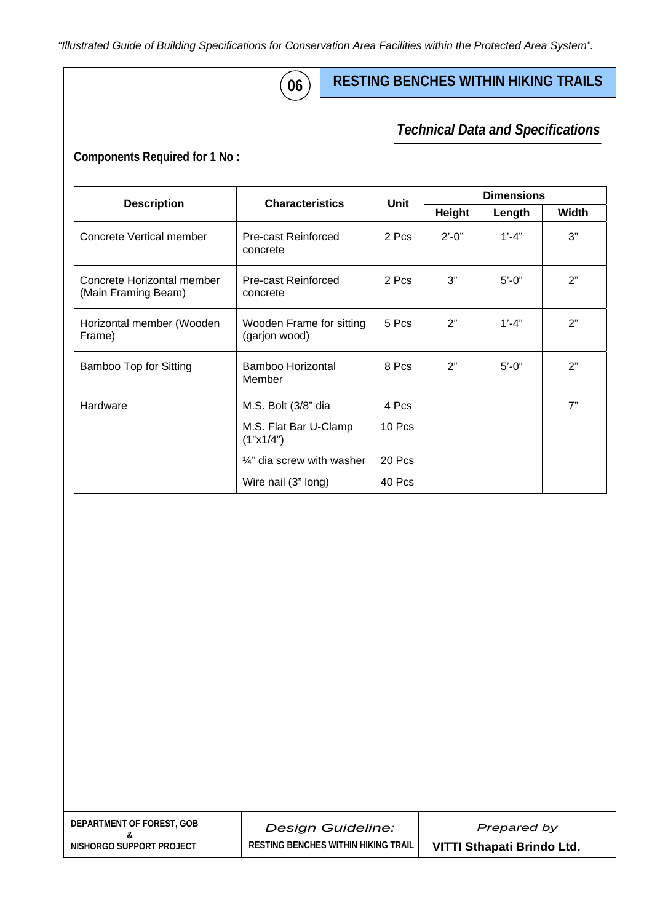*"Illustrated Guide of Building Specifications for Conservation Area Facilities within the Protected Area System".* 

# **06**

## **RESTING BENCHES WITHIN HIKING TRAILS**

#### *Technical Data and Specifications Technical Data and Specifications*

**Components Required for 1 No :** 

|                                                   | <b>Characteristics</b>                    | Unit     | <b>Dimensions</b> |            |       |
|---------------------------------------------------|-------------------------------------------|----------|-------------------|------------|-------|
| <b>Description</b>                                |                                           |          | Height            | Length     | Width |
| Concrete Vertical member                          | <b>Pre-cast Reinforced</b><br>concrete    | 2 Pcs    | $2' - 0''$        | $1' - 4"$  | 3"    |
| Concrete Horizontal member<br>(Main Framing Beam) | Pre-cast Reinforced<br>concrete           | 2 Pcs    | 3"                | $5' - 0''$ | 2"    |
| Horizontal member (Wooden<br>Frame)               | Wooden Frame for sitting<br>(garjon wood) | 5 Pcs    | 2"                | $1' - 4'$  | 2"    |
| Bamboo Top for Sitting                            | Bamboo Horizontal<br>Member               | 8 Pcs    | 2"                | $5' - 0''$ | 2"    |
| Hardware                                          | M.S. Bolt (3/8" dia                       | 4 Pcs    |                   |            | 7"    |
|                                                   | M.S. Flat Bar U-Clamp<br>(1"x1/4")        | $10$ Pcs |                   |            |       |
|                                                   | $\frac{1}{4}$ " dia screw with washer     | 20 Pcs   |                   |            |       |
|                                                   | Wire nail (3" long)                       | 40 Pcs   |                   |            |       |

| DEPARTMENT OF FOREST. GOB |  |
|---------------------------|--|
|                           |  |
| NISHORGO SUPPORT PROJECT  |  |